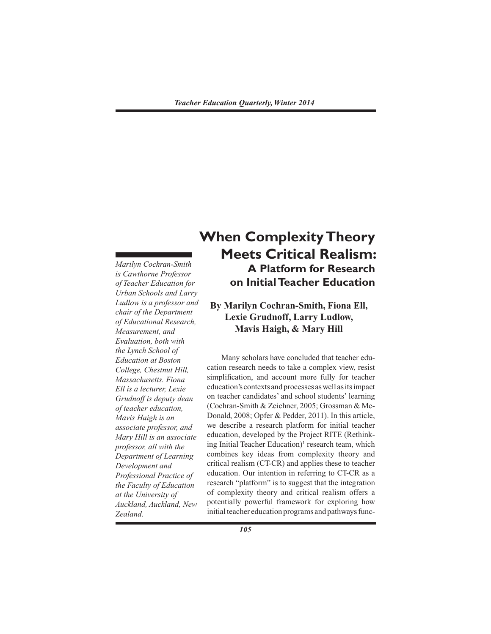*Marilyn Cochran-Smith is Cawthorne Professor of Teacher Education for Urban Schools and Larry Ludlow is a professor and chair of the Department of Educational Research, Measurement, and Evaluation, both with the Lynch School of Education at Boston College, Chestnut Hill, Massachusetts. Fiona Ell is a lecturer, Lexie Grudnoff is deputy dean of teacher education, Mavis Haigh is an associate professor, and Mary Hill is an associate professor, all with the Department of Learning Development and Professional Practice of the Faculty of Education at the University of Auckland, Auckland, New Zealand.*

# **When Complexity Theory Meets Critical Realism: A Platform for Research on Initial Teacher Education**

# **By Marilyn Cochran-Smith, Fiona Ell, Lexie Grudnoff, Larry Ludlow, Mavis Haigh, & Mary Hill**

 Many scholars have concluded that teacher education research needs to take a complex view, resist simplification, and account more fully for teacher education's contexts andprocesses aswell asitsimpact on teacher candidates' and school students' learning (Cochran-Smith & Zeichner, 2005; Grossman & Mc-Donald, 2008; Opfer & Pedder, 2011). In this article, we describe a research platform for initial teacher education, developed by the Project RITE (Rethinking Initial Teacher Education)<sup>1</sup> research team, which combines key ideas from complexity theory and critical realism (CT-CR) and applies these to teacher education. Our intention in referring to CT-CR as a research "platform" is to suggest that the integration of complexity theory and critical realism offers a potentially powerful framework for exploring how initial teacher education programs and pathways func-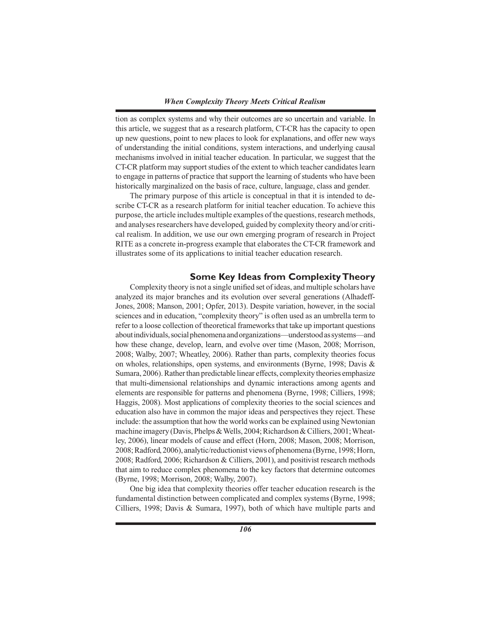tion as complex systems and why their outcomes are so uncertain and variable. In this article, we suggest that as a research platform, CT-CR has the capacity to open up new questions, point to new places to look for explanations, and offer new ways of understanding the initial conditions, system interactions, and underlying causal mechanisms involved in initial teacher education. In particular, we suggest that the CT-CR platform may support studies of the extent to which teacher candidates learn to engage in patterns of practice that support the learning of students who have been historically marginalized on the basis of race, culture, language, class and gender.

 The primary purpose of this article is conceptual in that it is intended to describe CT-CR as a research platform for initial teacher education. To achieve this purpose, the article includes multiple examples of the questions, research methods, and analyses researchers have developed, guided by complexity theory and/or critical realism. In addition, we use our own emerging program of research in Project RITE as a concrete in-progress example that elaborates the CT-CR framework and illustrates some of its applications to initial teacher education research.

# **Some Key Ideas from Complexity Theory**

 Complexity theory is not a single unified set ofideas, and multiple scholars have analyzed its major branches and its evolution over several generations (Alhadeff-Jones, 2008; Manson, 2001; Opfer, 2013). Despite variation, however, in the social sciences and in education, "complexity theory" is often used as an umbrella term to refer to a loose collection of theoretical frameworksthat take up important questions aboutindividuals,socialphenomenaandorganizations—understoodassystems—and how these change, develop, learn, and evolve over time (Mason, 2008; Morrison, 2008; Walby, 2007; Wheatley, 2006). Rather than parts, complexity theories focus on wholes, relationships, open systems, and environments (Byrne, 1998; Davis & Sumara, 2006). Rather than predictable linear effects, complexity theories emphasize that multi-dimensional relationships and dynamic interactions among agents and elements are responsible for patterns and phenomena (Byrne, 1998; Cilliers, 1998; Haggis, 2008). Most applications of complexity theories to the social sciences and education also have in common the major ideas and perspectives they reject. These include: the assumption that how the world works can be explained using Newtonian machine imagery (Davis, Phelps & Wells, 2004; Richardson & Cilliers, 2001; Wheatley, 2006), linear models of cause and effect (Horn, 2008; Mason, 2008; Morrison, 2008;Radford, 2006), analytic/reductionist views of phenomena (Byrne, 1998;Horn, 2008; Radford, 2006; Richardson & Cilliers, 2001), and positivist research methods that aim to reduce complex phenomena to the key factors that determine outcomes (Byrne, 1998; Morrison, 2008; Walby, 2007).

 One big idea that complexity theories offer teacher education research is the fundamental distinction between complicated and complex systems (Byrne, 1998; Cilliers, 1998; Davis & Sumara, 1997), both of which have multiple parts and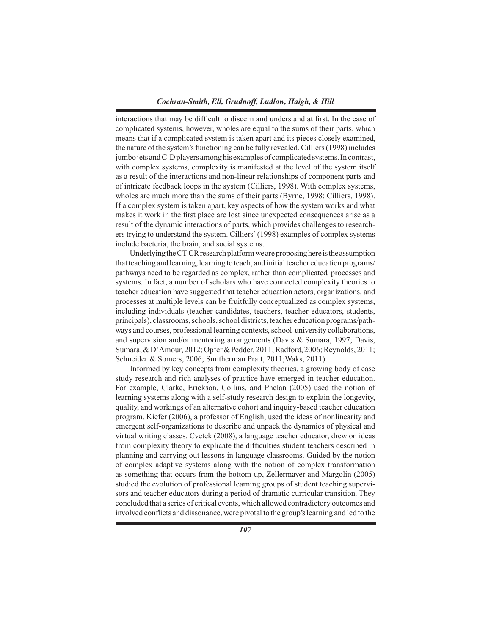interactions that may be difficult to discern and understand at first. In the case of complicated systems, however, wholes are equal to the sums of their parts, which means that if a complicated system is taken apart and its pieces closely examined, the nature of the system's functioning can be fully revealed. Cilliers (1998) includes jumbo jets and C-D players among his examples of complicated systems. In contrast, with complex systems, complexity is manifested at the level of the system itself as a result of the interactions and non-linear relationships of component parts and of intricate feedback loops in the system (Cilliers, 1998). With complex systems, wholes are much more than the sums of their parts (Byrne, 1998; Cilliers, 1998). If a complex system is taken apart, key aspects of how the system works and what makes it work in the first place are lost since unexpected consequences arise as a result of the dynamic interactions of parts, which provides challenges to researchers trying to understand the system. Cilliers'(1998) examples of complex systems include bacteria, the brain, and social systems.

Underlying the CT-CR research platform we are proposing here is the assumption that teaching and learning, learning to teach, and initial teacher education programs/ pathways need to be regarded as complex, rather than complicated, processes and systems. In fact, a number of scholars who have connected complexity theories to teacher education have suggested that teacher education actors, organizations, and processes at multiple levels can be fruitfully conceptualized as complex systems, including individuals (teacher candidates, teachers, teacher educators, students, principals), classrooms,schools,school districts, teacher education programs/pathways and courses, professional learning contexts, school-university collaborations, and supervision and/or mentoring arrangements (Davis & Sumara, 1997; Davis, Sumara, & D'Amour, 2012; Opfer & Pedder, 2011; Radford, 2006; Reynolds, 2011; Schneider & Somers, 2006; Smitherman Pratt, 2011;Waks, 2011).

 Informed by key concepts from complexity theories, a growing body of case study research and rich analyses of practice have emerged in teacher education. For example, Clarke, Erickson, Collins, and Phelan (2005) used the notion of learning systems along with a self-study research design to explain the longevity, quality, and workings of an alternative cohort and inquiry-based teacher education program. Kiefer (2006), a professor of English, used the ideas of nonlinearity and emergent self-organizations to describe and unpack the dynamics of physical and virtual writing classes. Cvetek (2008), a language teacher educator, drew on ideas from complexity theory to explicate the difficulties student teachers described in planning and carrying out lessons in language classrooms. Guided by the notion of complex adaptive systems along with the notion of complex transformation as something that occurs from the bottom-up, Zellermayer and Margolin (2005) studied the evolution of professional learning groups of student teaching supervisors and teacher educators during a period of dramatic curricular transition. They concluded that a series of critical events,which allowed contradictory outcomes and involved conflicts and dissonance, were pivotal to the group'slearning and led to the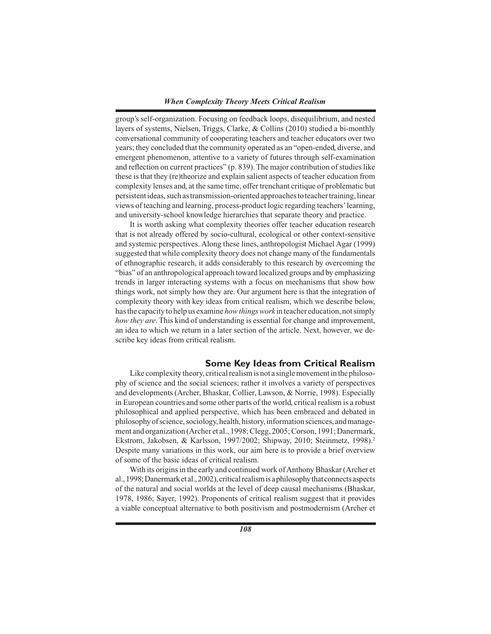group's self-organization. Focusing on feedback loops, disequilibrium, and nested layers of systems, Nielsen, Triggs, Clarke, & Collins (2010) studied a bi-monthly conversational community of cooperating teachers and teacher educators over two years; they concluded that the community operated as an "open-ended, diverse, and emergent phenomenon, attentive to a variety of futures through self-examination and reflection on current practices"  $(p. 839)$ . The major contribution of studies like these is that they (re)theorize and explain salient aspects of teacher education from complexity lenses and, at the same time, offer trenchant critique of problematic but persistentideas,such astransmission-oriented approachesto teachertraining,linear views of teaching and learning, process-product logic regarding teachers'learning, and university-school knowledge hierarchies that separate theory and practice.

 It is worth asking what complexity theories offer teacher education research that is not already offered by socio-cultural, ecological or other context-sensitive and systemic perspectives. Along these lines, anthropologist Michael Agar (1999) suggested that while complexity theory does not change many of the fundamentals of ethnographic research, it adds considerably to this research by overcoming the "bias" of an anthropological approach toward localized groups and by emphasizing trends in larger interacting systems with a focus on mechanisms that show how things work, not simply how they are. Our argument here is that the integration of complexity theory with key ideas from critical realism, which we describe below, hasthe capacity to help us examine *how things work* in teacher education, notsimply *how they are*. This kind of understanding is essential for change and improvement, an idea to which we return in a later section of the article. Next, however, we describe key ideas from critical realism.

## **Some Key Ideas from Critical Realism**

Like complexity theory, critical realism is not a single movement in the philosophy of science and the social sciences; rather it involves a variety of perspectives and developments (Archer, Bhaskar, Collier, Lawson, & Norrie, 1998). Especially in European countries and some other parts of the world, critical realism is a robust philosophical and applied perspective, which has been embraced and debated in philosophy of science, sociology, health, history, information sciences, and management and organization (Archer et al., 1998; Clegg, 2005; Corson, 1991; Danermark, Ekstrom, Jakobsen, & Karlsson, 1997/2002; Shipway, 2010; Steinmetz, 1998).<sup>2</sup> Despite many variations in this work, our aim here is to provide a brief overview of some of the basic ideas of critical realism.

With its origins in the early and continued work of Anthony Bhaskar (Archer et al., 1998; Danermark et al., 2002), critical realism is a philosophy that connects aspects of the natural and social worlds at the level of deep causal mechanisms (Bhaskar, 1978, 1986; Sayer, 1992). Proponents of critical realism suggest that it provides a viable conceptual alternative to both positivism and postmodernism (Archer et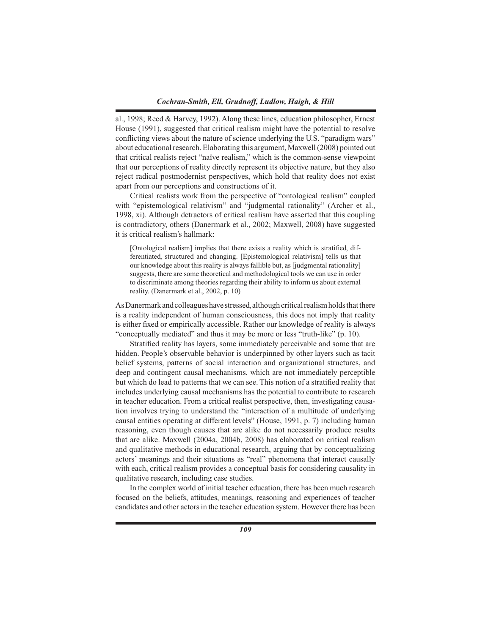al., 1998; Reed & Harvey, 1992). Along these lines, education philosopher, Ernest House (1991), suggested that critical realism might have the potential to resolve conflicting views about the nature of science underlying the U.S. "paradigm wars" about educational research. Elaborating this argument, Maxwell (2008) pointed out that critical realists reject "naïve realism," which is the common-sense viewpoint that our perceptions of reality directly represent its objective nature, but they also reject radical postmodernist perspectives, which hold that reality does not exist apart from our perceptions and constructions of it.

 Critical realists work from the perspective of "ontological realism" coupled with "epistemological relativism" and "judgmental rationality" (Archer et al., 1998, xi). Although detractors of critical realism have asserted that this coupling is contradictory, others (Danermark et al., 2002; Maxwell, 2008) have suggested it is critical realism's hallmark:

[Ontological realism] implies that there exists a reality which is stratified, differentiated, structured and changing. [Epistemological relativism] tells us that our knowledge about this reality is always fallible but, as [judgmental rationality] suggests, there are some theoretical and methodological tools we can use in order to discriminate among theories regarding their ability to inform us about external reality. (Danermark et al., 2002, p. 10)

As Danermark and colleagues have stressed, although critical realism holds that there is a reality independent of human consciousness, this does not imply that reality is either fixed or empirically accessible. Rather our knowledge of reality is always "conceptually mediated" and thus it may be more or less "truth-like" (p. 10).

 Stratified reality has layers, some immediately perceivable and some that are hidden. People's observable behavior is underpinned by other layers such as tacit belief systems, patterns of social interaction and organizational structures, and deep and contingent causal mechanisms, which are not immediately perceptible but which do lead to patterns that we can see. This notion of a stratified reality that includes underlying causal mechanisms has the potential to contribute to research in teacher education. From a critical realist perspective, then, investigating causation involves trying to understand the "interaction of a multitude of underlying causal entities operating at different levels" (House, 1991, p. 7) including human reasoning, even though causes that are alike do not necessarily produce results that are alike. Maxwell (2004a, 2004b, 2008) has elaborated on critical realism and qualitative methods in educational research, arguing that by conceptualizing actors' meanings and their situations as "real" phenomena that interact causally with each, critical realism provides a conceptual basis for considering causality in qualitative research, including case studies.

 In the complex world of initial teacher education, there has been much research focused on the beliefs, attitudes, meanings, reasoning and experiences of teacher candidates and other actorsin the teacher education system. However there has been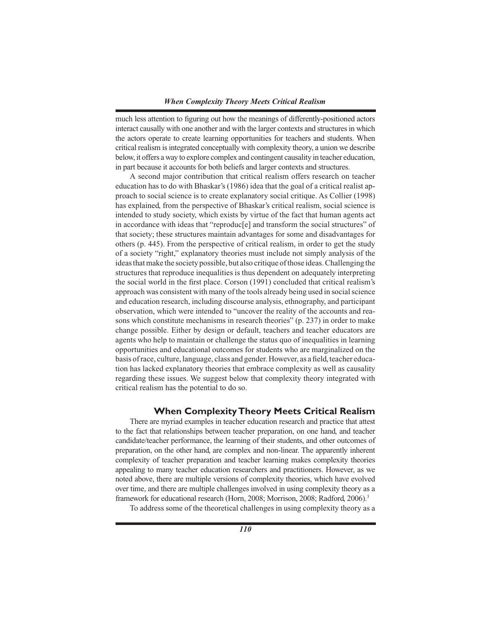much less attention to figuring out how the meanings of differently-positioned actors interact causally with one another and with the larger contexts and structures in which the actors operate to create learning opportunities for teachers and students. When critical realism isintegrated conceptually with complexity theory, a union we describe below, it offers a way to explore complex and contingent causality in teacher education, in part because it accounts for both beliefs and larger contexts and structures.

 A second major contribution that critical realism offers research on teacher education has to do with Bhaskar's (1986) idea that the goal of a critical realist approach to social science is to create explanatory social critique. As Collier (1998) has explained, from the perspective of Bhaskar's critical realism, social science is intended to study society, which exists by virtue of the fact that human agents act in accordance with ideas that "reproduc[e] and transform the social structures" of that society; these structures maintain advantages for some and disadvantages for others (p. 445). From the perspective of critical realism, in order to get the study of a society "right," explanatory theories must include not simply analysis of the ideasthatmake the society possible, but also critique ofthose ideas.Challenging the structures that reproduce inequalities is thus dependent on adequately interpreting the social world in the first place. Corson (1991) concluded that critical realism's approach was consistent with many of the tools already being used in socialscience and education research, including discourse analysis, ethnography, and participant observation, which were intended to "uncover the reality of the accounts and reasons which constitute mechanisms in research theories" (p. 237) in order to make change possible. Either by design or default, teachers and teacher educators are agents who help to maintain or challenge the status quo of inequalities in learning opportunities and educational outcomes for students who are marginalized on the basis ofrace, culture, language, class and gender. However, as a field, teacher education has lacked explanatory theories that embrace complexity as well as causality regarding these issues. We suggest below that complexity theory integrated with critical realism has the potential to do so.

## **When Complexity Theory Meets Critical Realism**

 There are myriad examples in teacher education research and practice that attest to the fact that relationships between teacher preparation, on one hand, and teacher candidate/teacher performance, the learning of their students, and other outcomes of preparation, on the other hand, are complex and non-linear. The apparently inherent complexity of teacher preparation and teacher learning makes complexity theories appealing to many teacher education researchers and practitioners. However, as we noted above, there are multiple versions of complexity theories, which have evolved over time, and there are multiple challenges involved in using complexity theory as a framework for educational research (Horn, 2008; Morrison, 2008; Radford, 2006).<sup>3</sup>

 To address some of the theoretical challenges in using complexity theory as a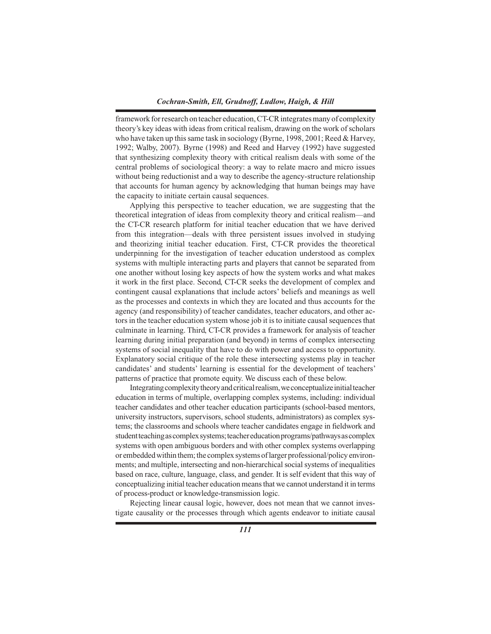framework for research on teacher education, CT-CR integrates many of complexity theory's key ideas with ideas from critical realism, drawing on the work of scholars who have taken up this same task in sociology (Byrne, 1998, 2001; Reed & Harvey, 1992; Walby, 2007). Byrne (1998) and Reed and Harvey (1992) have suggested that synthesizing complexity theory with critical realism deals with some of the central problems of sociological theory: a way to relate macro and micro issues without being reductionist and a way to describe the agency-structure relationship that accounts for human agency by acknowledging that human beings may have the capacity to initiate certain causal sequences.

 Applying this perspective to teacher education, we are suggesting that the theoretical integration of ideas from complexity theory and critical realism—and the CT-CR research platform for initial teacher education that we have derived from this integration—deals with three persistent issues involved in studying and theorizing initial teacher education. First, CT-CR provides the theoretical underpinning for the investigation of teacher education understood as complex systems with multiple interacting parts and players that cannot be separated from one another without losing key aspects of how the system works and what makes it work in the first place. Second, CT-CR seeks the development of complex and contingent causal explanations that include actors' beliefs and meanings as well as the processes and contexts in which they are located and thus accounts for the agency (and responsibility) of teacher candidates, teacher educators, and other actors in the teacher education system whose job it is to initiate causal sequences that culminate in learning. Third, CT-CR provides a framework for analysis of teacher learning during initial preparation (and beyond) in terms of complex intersecting systems of social inequality that have to do with power and access to opportunity. Explanatory social critique of the role these intersecting systems play in teacher candidates' and students' learning is essential for the development of teachers' patterns of practice that promote equity. We discuss each of these below.

Integrating complexity theory and critical realism, we conceptualize initial teacher education in terms of multiple, overlapping complex systems, including: individual teacher candidates and other teacher education participants (school-based mentors, university instructors, supervisors, school students, administrators) as complex systems; the classrooms and schools where teacher candidates engage in fieldwork and student teaching as complex systems; teacher education programs/pathways as complex systems with open ambiguous borders and with other complex systems overlapping or embedded within them; the complex systems of larger professional/policy environments; and multiple, intersecting and non-hierarchical social systems of inequalities based on race, culture, language, class, and gender. It is self evident that this way of conceptualizing initial teacher education meansthat we cannot understand it in terms of process-product or knowledge-transmission logic.

 Rejecting linear causal logic, however, does not mean that we cannot investigate causality or the processes through which agents endeavor to initiate causal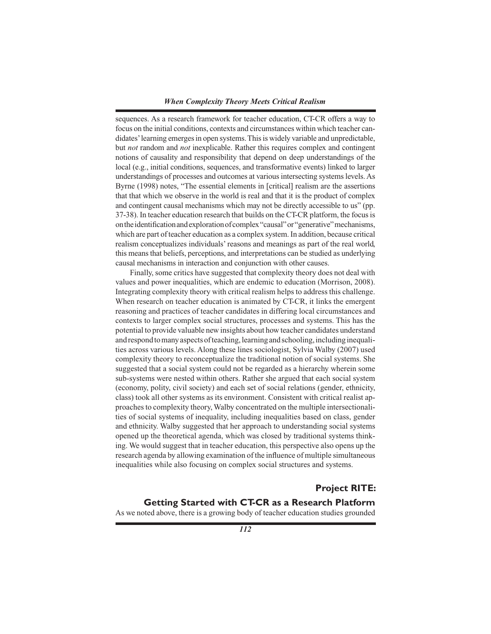sequences. As a research framework for teacher education, CT-CR offers a way to focus on the initial conditions, contexts and circumstances within which teacher candidates'learning emergesin open systems.Thisis widely variable and unpredictable, but *not* random and *not* inexplicable. Rather this requires complex and contingent notions of causality and responsibility that depend on deep understandings of the local (e.g., initial conditions, sequences, and transformative events) linked to larger understandings of processes and outcomes at various intersecting systems levels.As Byrne (1998) notes, "The essential elements in [critical] realism are the assertions that that which we observe in the world is real and that it is the product of complex and contingent causal mechanisms which may not be directly accessible to us" (pp. 37-38). In teacher education research that builds on the CT-CR platform, the focusis ontheidentificationandexplorationofcomplex"causal"or"generative"mechanisms, which are part of teacher education as a complex system. In addition, because critical realism conceptualizes individuals' reasons and meanings as part of the real world, this means that beliefs, perceptions, and interpretations can be studied as underlying causal mechanisms in interaction and conjunction with other causes.

 Finally, some critics have suggested that complexity theory does not deal with values and power inequalities, which are endemic to education (Morrison, 2008). Integrating complexity theory with critical realism helps to address this challenge. When research on teacher education is animated by CT-CR, it links the emergent reasoning and practices of teacher candidates in differing local circumstances and contexts to larger complex social structures, processes and systems. This has the potential to provide valuable new insights about how teacher candidates understand and respond to many aspects of teaching, learning and schooling, including inequalities across various levels. Along these lines sociologist, Sylvia Walby (2007) used complexity theory to reconceptualize the traditional notion of social systems. She suggested that a social system could not be regarded as a hierarchy wherein some sub-systems were nested within others. Rather she argued that each social system (economy, polity, civil society) and each set of social relations (gender, ethnicity, class) took all other systems as its environment. Consistent with critical realist approachesto complexity theory,Walby concentrated on the multiple intersectionalities of social systems of inequality, including inequalities based on class, gender and ethnicity. Walby suggested that her approach to understanding social systems opened up the theoretical agenda, which was closed by traditional systems thinking. We would suggest that in teacher education, this perspective also opens up the research agenda by allowing examination of the influence of multiple simultaneous inequalities while also focusing on complex social structures and systems.

# **Project RITE:**

# **Getting Started with CT-CR as a Research Platform**

As we noted above, there is a growing body of teacher education studies grounded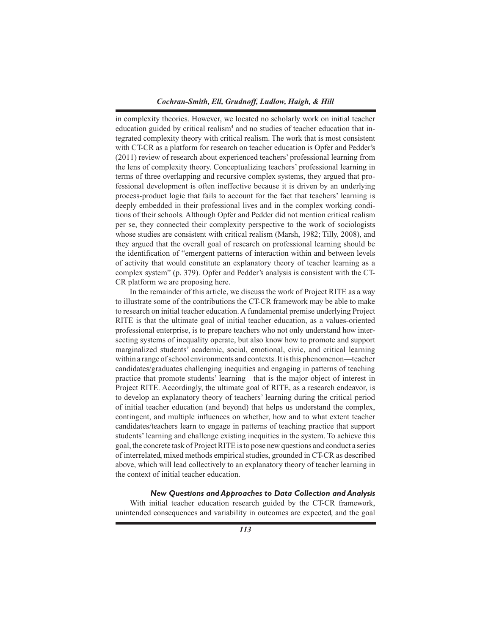in complexity theories. However, we located no scholarly work on initial teacher education guided by critical realism<sup>4</sup> and no studies of teacher education that integrated complexity theory with critical realism. The work that is most consistent with CT-CR as a platform for research on teacher education is Opfer and Pedder's (2011) review of research about experienced teachers' professional learning from the lens of complexity theory. Conceptualizing teachers' professional learning in terms of three overlapping and recursive complex systems, they argued that professional development is often ineffective because it is driven by an underlying process-product logic that fails to account for the fact that teachers' learning is deeply embedded in their professional lives and in the complex working conditions of their schools. Although Opfer and Pedder did not mention critical realism per se, they connected their complexity perspective to the work of sociologists whose studies are consistent with critical realism (Marsh, 1982; Tilly, 2008), and they argued that the overall goal of research on professional learning should be the identification of "emergent patterns of interaction within and between levels of activity that would constitute an explanatory theory of teacher learning as a complex system" (p. 379). Opfer and Pedder's analysis is consistent with the CT-CR platform we are proposing here.

 In the remainder of this article, we discuss the work of Project RITE as a way to illustrate some of the contributions the CT-CR framework may be able to make to research on initial teacher education.A fundamental premise underlying Project RITE is that the ultimate goal of initial teacher education, as a values-oriented professional enterprise, is to prepare teachers who not only understand how intersecting systems of inequality operate, but also know how to promote and support marginalized students' academic, social, emotional, civic, and critical learning within a range ofschool environments and contexts.It isthis phenomenon—teacher candidates/graduates challenging inequities and engaging in patterns of teaching practice that promote students' learning—that is the major object of interest in Project RITE. Accordingly, the ultimate goal of RITE, as a research endeavor, is to develop an explanatory theory of teachers' learning during the critical period of initial teacher education (and beyond) that helps us understand the complex, contingent, and multiple influences on whether, how and to what extent teacher candidates/teachers learn to engage in patterns of teaching practice that support students' learning and challenge existing inequities in the system. To achieve this goal, the concrete task of ProjectRITE isto pose new questions and conduct a series of interrelated, mixed methods empirical studies, grounded in CT-CR as described above, which will lead collectively to an explanatory theory of teacher learning in the context of initial teacher education.

#### *New Questions and Approaches to Data Collection and Analysis*

 With initial teacher education research guided by the CT-CR framework, unintended consequences and variability in outcomes are expected, and the goal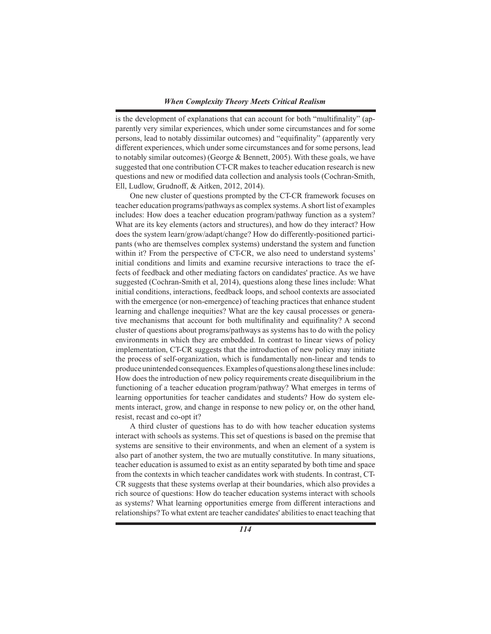is the development of explanations that can account for both "multifinality" (apparently very similar experiences, which under some circumstances and for some persons, lead to notably dissimilar outcomes) and "equifinality" (apparently very different experiences, which undersome circumstances and forsome persons, lead to notably similar outcomes) (George & Bennett, 2005). With these goals, we have suggested that one contribution CT-CR makesto teacher education research is new questions and new or modified data collection and analysis tools (Cochran-Smith, Ell, Ludlow, Grudnoff, & Aitken, 2012, 2014).

 One new cluster of questions prompted by the CT-CR framework focuses on teacher education programs/pathways as complex systems.A short list of examples includes: How does a teacher education program/pathway function as a system? What are its key elements (actors and structures), and how do they interact? How does the system learn/grow/adapt/change? How do differently-positioned participants (who are themselves complex systems) understand the system and function within it? From the perspective of CT-CR, we also need to understand systems' initial conditions and limits and examine recursive interactions to trace the effects of feedback and other mediating factors on candidates' practice. As we have suggested (Cochran-Smith et al, 2014), questions along these lines include: What initial conditions, interactions, feedback loops, and school contexts are associated with the emergence (or non-emergence) of teaching practices that enhance student learning and challenge inequities? What are the key causal processes or generative mechanisms that account for both multifinality and equifinality? A second cluster of questions about programs/pathways as systems has to do with the policy environments in which they are embedded. In contrast to linear views of policy implementation, CT-CR suggests that the introduction of new policy may initiate the process of self-organization, which is fundamentally non-linear and tends to produce unintended consequences. Examples of questions along these lines include: How does the introduction of new policy requirements create disequilibrium in the functioning of a teacher education program/pathway? What emerges in terms of learning opportunities for teacher candidates and students? How do system elements interact, grow, and change in response to new policy or, on the other hand, resist, recast and co-opt it?

 A third cluster of questions has to do with how teacher education systems interact with schools as systems. This set of questions is based on the premise that systems are sensitive to their environments, and when an element of a system is also part of another system, the two are mutually constitutive. In many situations, teacher education is assumed to exist as an entity separated by both time and space from the contexts in which teacher candidates work with students. In contrast, CT-CR suggests that these systems overlap at their boundaries, which also provides a rich source of questions: How do teacher education systems interact with schools as systems? What learning opportunities emerge from different interactions and relationships?To what extent are teacher candidates' abilitiesto enact teaching that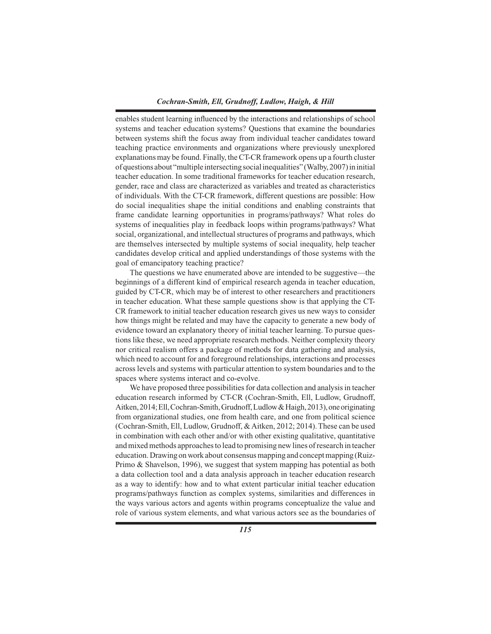enables student learning influenced by the interactions and relationships of school systems and teacher education systems? Questions that examine the boundaries between systems shift the focus away from individual teacher candidates toward teaching practice environments and organizations where previously unexplored explanations may be found. Finally, the CT-CR framework opens up a fourth cluster ofquestions about "multiple intersectingsocialinequalities" (Walby,2007)ininitial teacher education. In some traditional frameworks for teacher education research, gender, race and class are characterized as variables and treated as characteristics of individuals. With the CT-CR framework, different questions are possible: How do social inequalities shape the initial conditions and enabling constraints that frame candidate learning opportunities in programs/pathways? What roles do systems of inequalities play in feedback loops within programs/pathways? What social, organizational, and intellectual structures of programs and pathways, which are themselves intersected by multiple systems of social inequality, help teacher candidates develop critical and applied understandings of those systems with the goal of emancipatory teaching practice?

 The questions we have enumerated above are intended to be suggestive—the beginnings of a different kind of empirical research agenda in teacher education, guided by CT-CR, which may be of interest to other researchers and practitioners in teacher education. What these sample questions show is that applying the CT-CR framework to initial teacher education research gives us new ways to consider how things might be related and may have the capacity to generate a new body of evidence toward an explanatory theory of initial teacher learning. To pursue questions like these, we need appropriate research methods. Neither complexity theory nor critical realism offers a package of methods for data gathering and analysis, which need to account for and foreground relationships, interactions and processes across levels and systems with particular attention to system boundaries and to the spaces where systems interact and co-evolve.

We have proposed three possibilities for data collection and analysis in teacher education research informed by CT-CR (Cochran-Smith, Ell, Ludlow, Grudnoff, Aitken,2014;Ell,Cochran-Smith,Grudnoff,Ludlow&Haigh,2013),oneoriginating from organizational studies, one from health care, and one from political science (Cochran-Smith, Ell, Ludlow, Grudnoff, & Aitken, 2012; 2014). These can be used in combination with each other and/or with other existing qualitative, quantitative andmixedmethods approachesto lead to promising new lines ofresearch in teacher education. Drawing on work about consensus mapping and concept mapping (Ruiz-Primo & Shavelson, 1996), we suggest that system mapping has potential as both a data collection tool and a data analysis approach in teacher education research as a way to identify: how and to what extent particular initial teacher education programs/pathways function as complex systems, similarities and differences in the ways various actors and agents within programs conceptualize the value and role of various system elements, and what various actors see as the boundaries of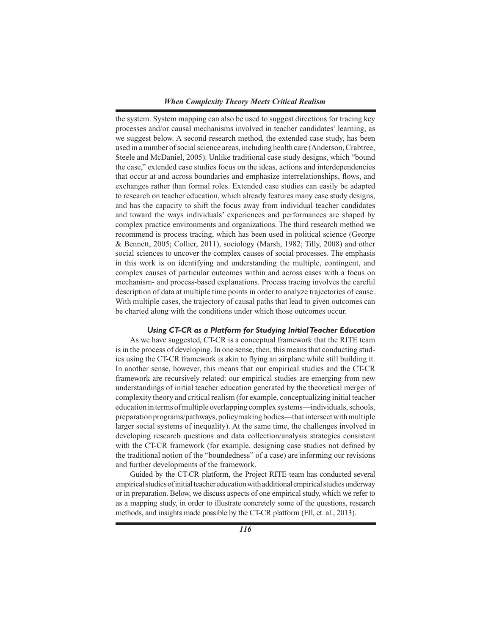the system. System mapping can also be used to suggest directions for tracing key processes and/or causal mechanisms involved in teacher candidates' learning, as we suggest below. A second research method, the extended case study, has been used in a number of social science areas, including health care (Anderson, Crabtree, Steele and McDaniel, 2005). Unlike traditional case study designs, which "bound the case," extended case studies focus on the ideas, actions and interdependencies that occur at and across boundaries and emphasize interrelationships, flows, and exchanges rather than formal roles. Extended case studies can easily be adapted to research on teacher education, which already features many case study designs, and has the capacity to shift the focus away from individual teacher candidates and toward the ways individuals' experiences and performances are shaped by complex practice environments and organizations. The third research method we recommend is process tracing, which has been used in political science (George & Bennett, 2005; Collier, 2011), sociology (Marsh, 1982; Tilly, 2008) and other social sciences to uncover the complex causes of social processes. The emphasis in this work is on identifying and understanding the multiple, contingent, and complex causes of particular outcomes within and across cases with a focus on mechanism- and process-based explanations. Process tracing involves the careful description of data at multiple time points in order to analyze trajectories of cause. With multiple cases, the trajectory of causal paths that lead to given outcomes can be charted along with the conditions under which those outcomes occur.

## *Using CT-CR as a Platform for Studying Initial Teacher Education*

 As we have suggested, CT-CR is a conceptual framework that the RITE team isin the process of developing. In one sense, then, this meansthat conducting studies using the CT-CR framework is akin to flying an airplane while still building it. In another sense, however, this means that our empirical studies and the CT-CR framework are recursively related: our empirical studies are emerging from new understandings of initial teacher education generated by the theoretical merger of complexity theory and critical realism (for example, conceptualizing initial teacher education in terms of multiple overlapping complex systems—individuals, schools, preparation programs/pathways, policymaking bodies—that intersect with multiple larger social systems of inequality). At the same time, the challenges involved in developing research questions and data collection/analysis strategies consistent with the CT-CR framework (for example, designing case studies not defined by the traditional notion of the "boundedness" of a case) are informing our revisions and further developments of the framework.

 Guided by the CT-CR platform, the Project RITE team has conducted several empirical studies of initial teacher education with additional empirical studies underway or in preparation. Below, we discuss aspects of one empirical study, which we refer to as a mapping study, in order to illustrate concretely some of the questions, research methods, and insights made possible by the CT-CR platform (Ell, et. al., 2013).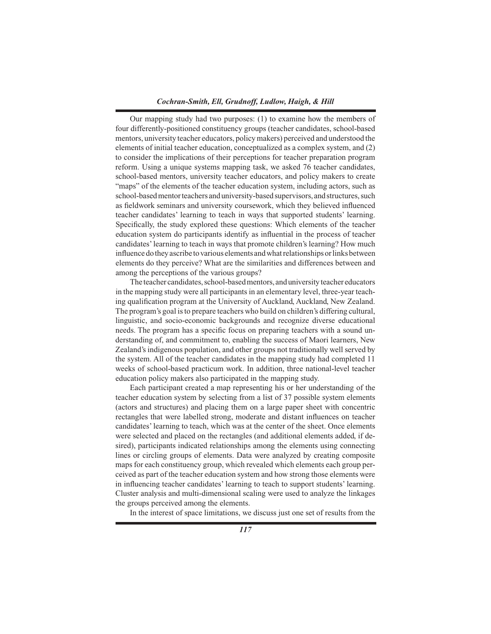Our mapping study had two purposes: (1) to examine how the members of four differently-positioned constituency groups (teacher candidates, school-based mentors, university teacher educators, policymakers) perceived and understood the elements of initial teacher education, conceptualized as a complex system, and (2) to consider the implications of their perceptions for teacher preparation program reform. Using a unique systems mapping task, we asked 76 teacher candidates, school-based mentors, university teacher educators, and policy makers to create "maps" of the elements of the teacher education system, including actors, such as school-based mentor teachers and university-based supervisors, and structures, such as fieldwork seminars and university coursework, which they believed influenced teacher candidates' learning to teach in ways that supported students' learning. Specifically, the study explored these questions: Which elements of the teacher education system do participants identify as influential in the process of teacher candidates'learning to teach in ways that promote children's learning? How much influence do they ascribe to various elements and what relationships or links between elements do they perceive? What are the similarities and differences between and among the perceptions of the various groups?

The teacher candidates, school-based mentors, and university teacher educators in the mapping study were all participants in an elementary level, three-year teaching qualification program at the University of Auckland, Auckland, New Zealand. The program's goal isto prepare teachers who build on children's differing cultural, linguistic, and socio-economic backgrounds and recognize diverse educational needs. The program has a specific focus on preparing teachers with a sound understanding of, and commitment to, enabling the success of Maori learners, New Zealand's indigenous population, and other groups not traditionally well served by the system. All of the teacher candidates in the mapping study had completed 11 weeks of school-based practicum work. In addition, three national-level teacher education policy makers also participated in the mapping study.

 Each participant created a map representing his or her understanding of the teacher education system by selecting from a list of 37 possible system elements (actors and structures) and placing them on a large paper sheet with concentric rectangles that were labelled strong, moderate and distant influences on teacher candidates'learning to teach, which was at the center of the sheet. Once elements were selected and placed on the rectangles (and additional elements added, if desired), participants indicated relationships among the elements using connecting lines or circling groups of elements. Data were analyzed by creating composite maps for each constituency group, which revealed which elements each group perceived as part of the teacher education system and how strong those elements were in influencing teacher candidates' learning to teach to support students' learning. Cluster analysis and multi-dimensional scaling were used to analyze the linkages the groups perceived among the elements.

 In the interest of space limitations, we discuss just one set of results from the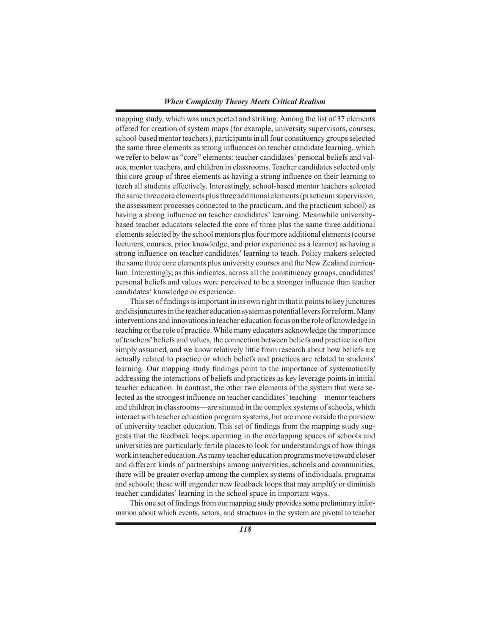mapping study, which was unexpected and striking. Among the list of 37 elements offered for creation of system maps (for example, university supervisors, courses, school-based mentor teachers), participants in all four constituency groups selected the same three elements as strong influences on teacher candidate learning, which we refer to below as "core" elements: teacher candidates' personal beliefs and values, mentor teachers, and children in classrooms.Teacher candidates selected only this core group of three elements as having a strong influence on their learning to teach all students effectively. Interestingly, school-based mentor teachers selected the same three core elements plusthree additional elements(practicumsupervision, the assessment processes connected to the practicum, and the practicum school) as having a strong influence on teacher candidates' learning. Meanwhile universitybased teacher educators selected the core of three plus the same three additional elements selected by the school mentors plus four more additional elements (course lecturers, courses, prior knowledge, and prior experience as a learner) as having a strong influence on teacher candidates' learning to teach. Policy makers selected the same three core elements plus university courses and the New Zealand curriculum. Interestingly, as this indicates, across all the constituency groups, candidates' personal beliefs and values were perceived to be a stronger influence than teacher candidates' knowledge or experience.

This set of findings is important in its own right in that it points to key junctures and disjunctures in the teacher education system as potential levers for reform. Many interventions and innovations in teacher education focus on the role of knowledge in teaching or the role of practice. While many educators acknowledge the importance of teachers'beliefs and values, the connection between beliefs and practice is often simply assumed, and we know relatively little from research about how beliefs are actually related to practice or which beliefs and practices are related to students' learning. Our mapping study findings point to the importance of systematically addressing the interactions of beliefs and practices as key leverage points in initial teacher education. In contrast, the other two elements of the system that were selected as the strongest influence on teacher candidates'teaching—mentor teachers and children in classrooms—are situated in the complex systems of schools, which interact with teacher education program systems, but are more outside the purview of university teacher education. This set of findings from the mapping study suggests that the feedback loops operating in the overlapping spaces of schools and universities are particularly fertile places to look for understandings of how things work in teacher education.Asmany teacher education programsmove toward closer and different kinds of partnerships among universities, schools and communities, there will be greater overlap among the complex systems of individuals, programs and schools; these will engender new feedback loops that may amplify or diminish teacher candidates' learning in the school space in important ways.

This one set of findings from our mapping study provides some preliminary information about which events, actors, and structures in the system are pivotal to teacher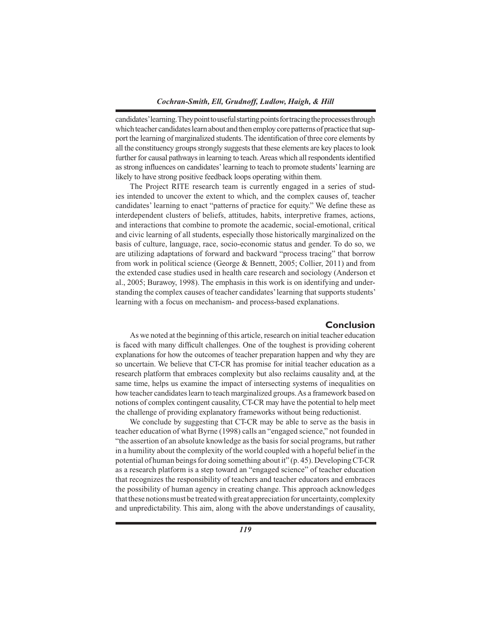candidates' learning. They point to useful starting points for tracing the processes through which teacher candidates learn about and then employ core patterns of practice that support the learning of marginalized students.The identification of three core elements by all the constituency groups strongly suggests that these elements are key places to look further for causal pathways in learning to teach. Areas which all respondents identified as strong influences on candidates'learning to teach to promote students'learning are likely to have strong positive feedback loops operating within them.

 The Project RITE research team is currently engaged in a series of studies intended to uncover the extent to which, and the complex causes of, teacher candidates' learning to enact "patterns of practice for equity." We define these as interdependent clusters of beliefs, attitudes, habits, interpretive frames, actions, and interactions that combine to promote the academic, social-emotional, critical and civic learning of all students, especially those historically marginalized on the basis of culture, language, race, socio-economic status and gender. To do so, we are utilizing adaptations of forward and backward "process tracing" that borrow from work in political science (George & Bennett, 2005; Collier, 2011) and from the extended case studies used in health care research and sociology (Anderson et al., 2005; Burawoy, 1998). The emphasis in this work is on identifying and understanding the complex causes of teacher candidates' learning that supports students' learning with a focus on mechanism- and process-based explanations.

# **Conclusion**

 As we noted at the beginning of this article, research on initial teacher education is faced with many difficult challenges. One of the toughest is providing coherent explanations for how the outcomes of teacher preparation happen and why they are so uncertain. We believe that CT-CR has promise for initial teacher education as a research platform that embraces complexity but also reclaims causality and, at the same time, helps us examine the impact of intersecting systems of inequalities on how teacher candidateslearn to teach marginalized groups.As a framework based on notions of complex contingent causality, CT-CR may have the potential to help meet the challenge of providing explanatory frameworks without being reductionist.

 We conclude by suggesting that CT-CR may be able to serve as the basis in teacher education of what Byrne (1998) calls an "engaged science," not founded in "the assertion of an absolute knowledge asthe basisforsocial programs, but rather in a humility about the complexity of the world coupled with a hopeful belief in the potential of human beingsfor doing something about it" (p. 45). DevelopingCT-CR as a research platform is a step toward an "engaged science" of teacher education that recognizes the responsibility of teachers and teacher educators and embraces the possibility of human agency in creating change. This approach acknowledges that these notions must be treated with great appreciation for uncertainty, complexity and unpredictability. This aim, along with the above understandings of causality,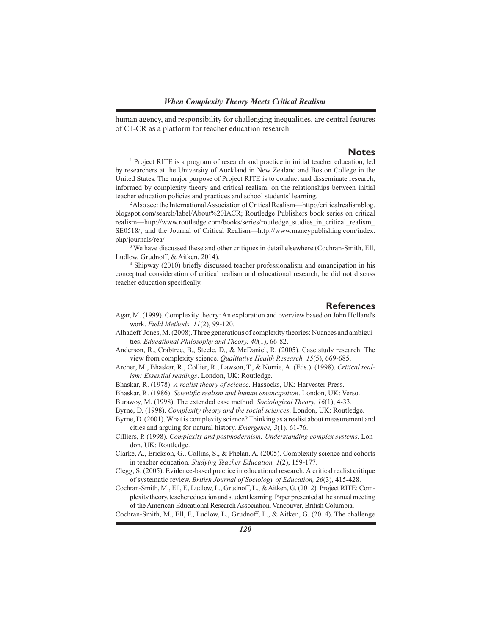human agency, and responsibility for challenging inequalities, are central features of CT-CR as a platform for teacher education research.

#### **Notes**

<sup>1</sup> Project RITE is a program of research and practice in initial teacher education, led by researchers at the University of Auckland in New Zealand and Boston College in the United States. The major purpose of Project RITE is to conduct and disseminate research, informed by complexity theory and critical realism, on the relationships between initial teacher education policies and practices and school students' learning.

<sup>2</sup>Also see: the International Association of Critical Realism—http://criticalrealismblog. blogspot.com/search/label/About%20IACR; Routledge Publishers book series on critical realism—http://www.routledge.com/books/series/routledge\_studies\_in\_critical\_realism\_ SE0518/; and the Journal of Critical Realism—http://www.maneypublishing.com/index. php/journals/rea/

<sup>3</sup> We have discussed these and other critiques in detail elsewhere (Cochran-Smith, Ell, Ludlow, Grudnoff, & Aitken, 2014).

<sup>4</sup> Shipway (2010) briefly discussed teacher professionalism and emancipation in his conceptual consideration of critical realism and educational research, he did not discuss teacher education specifically.

#### **References**

- Agar, M. (1999). Complexity theory: An exploration and overview based on John Holland's work. *Field Methods, 11*(2), 99-120.
- Alhadeff-Jones,M.(2008).Three generations of complexity theories: Nuances and ambiguities. *Educational Philosophy and Theory, 40*(1), 66-82.
- Anderson, R., Crabtree, B., Steele, D., & McDaniel, R. (2005). Case study research: The view from complexity science. *Qualitative Health Research, 15*(5), 669-685.
- Archer, M., Bhaskar, R., Collier, R., Lawson, T., & Norrie, A. (Eds.). (1998). *Critical realism: Essential readings*. London, UK: Routledge.
- Bhaskar, R. (1978). *A realist theory of science*. Hassocks, UK: Harvester Press.
- Bhaskar, R. (1986). *Scientific realism and human emancipation*. London, UK: Verso.
- Burawoy, M. (1998). The extended case method. *Sociological Theory, 16*(1), 4-33.
- Byrne, D. (1998). *Complexity theory and the social sciences*. London, UK: Routledge.
- Byrne, D. (2001). What is complexity science?Thinking as a realist about measurement and cities and arguing for natural history. *Emergence, 3*(1), 61-76.
- Cilliers, P. (1998). *Complexity and postmodernism: Understanding complex systems*. London, UK: Routledge.
- Clarke, A., Erickson, G., Collins, S., & Phelan, A. (2005). Complexity science and cohorts in teacher education. *Studying Teacher Education, 1*(2), 159-177.
- Clegg, S. (2005). Evidence-based practice in educational research: A critical realist critique of systematic review. *British Journal of Sociology of Education, 26*(3), 415-428.
- Cochran-Smith, M., Ell, F., Ludlow, L., Grudnoff, L., &Aitken, G. (2012). Project RITE: Complexity theory, teacher education and student learning. Paper presented at the annual meeting of the American Educational Research Association, Vancouver, British Columbia.

Cochran-Smith, M., Ell, F., Ludlow, L., Grudnoff, L., & Aitken, G. (2014). The challenge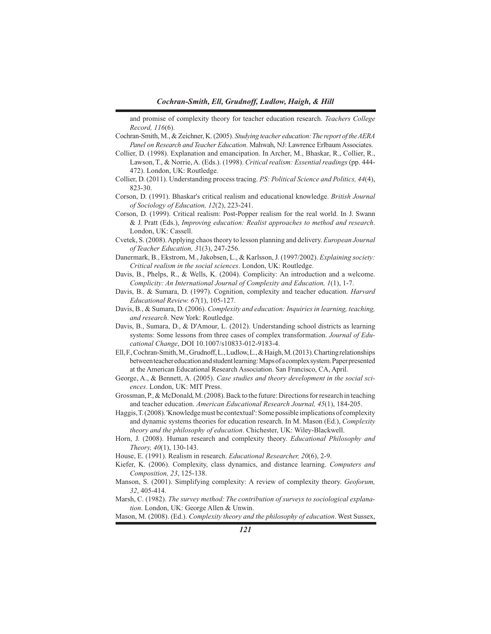and promise of complexity theory for teacher education research. *Teachers College Record, 116*(6).

- Cochran-Smith, M., & Zeichner, K.(2005). *Studying teacher education: The report of the AERA Panel on Research and Teacher Education*. Mahwah, NJ: Lawrence ErlbaumAssociates.
- Collier, D. (1998). Explanation and emancipation. In Archer, M., Bhaskar, R., Collier, R., Lawson, T., & Norrie, A. (Eds.). (1998). *Critical realism: Essential readings* (pp. 444- 472). London, UK: Routledge.
- Collier, D. (2011). Understanding process tracing. *PS: Political Science and Politics, 44*(4), 823-30.
- Corson, D. (1991). Bhaskar's critical realism and educational knowledge. *British Journal of Sociology of Education, 12*(2), 223-241.
- Corson, D. (1999). Critical realism: Post-Popper realism for the real world. In J. Swann & J. Pratt (Eds.), *Improving education: Realist approaches to method and research*. London, UK: Cassell.
- Cvetek, S. (2008).Applying chaostheory to lesson planning and delivery. *European Journal of Teacher Education, 3*1(3), 247-256.
- Danermark, B., Ekstrom, M., Jakobsen, L., & Karlsson, J. (1997/2002). *Explaining society: Critical realism in the social sciences*. London, UK: Routledge.
- Davis, B., Phelps, R., & Wells, K. (2004). Complicity: An introduction and a welcome. *Complicity: An International Journal of Complexity and Education, 1*(1), 1-7.
- Davis, B.. & Sumara, D. (1997). Cognition, complexity and teacher education. *Harvard Educational Review. 67*(1), 105-127.
- Davis, B., & Sumara, D. (2006). *Complexity and education: Inquiries in learning, teaching, and research*. New York: Routledge.
- Davis, B., Sumara, D., & D'Amour, L. (2012). Understanding school districts as learning systems: Some lessons from three cases of complex transformation. *Journal of Educational Change*, DOI 10.1007/s10833-012-9183-4.
- Ell,F.,Cochran-Smith,M.,Grudnoff,L.,Ludlow,L.,&Haigh,M.(2013).Chartingrelationships between teacher education and student learning: Maps of a complex system. Paper presented at the American Educational Research Association. San Francisco, CA, April.
- George, A., & Bennett, A. (2005). *Case studies and theory development in the social sciences*. London, UK: MIT Press.
- Grossman, P., & McDonald, M. (2008). Back to the future: Directions for research in teaching and teacher education. *American Educational Research Journal, 45*(1), 184-205.
- Haggis, T. (2008). 'Knowledge must be contextual': Some possible implications of complexity and dynamic systems theories for education research. In M. Mason (Ed.), *Complexity theory and the philosophy of education*. Chichester, UK: Wiley-Blackwell.
- Horn, J. (2008). Human research and complexity theory. *Educational Philosophy and Theory, 40*(1), 130-143.
- House, E. (1991). Realism in research. *Educational Researcher, 20*(6), 2-9.
- Kiefer, K. (2006). Complexity, class dynamics, and distance learning. *Computers and Composition, 23*, 125-138.
- Manson, S. (2001). Simplifying complexity: A review of complexity theory. *Geoforum, 32*, 405-414.

Marsh, C. (1982). *The survey method: The contribution of surveys to sociological explanation*. London, UK: George Allen & Unwin.

Mason, M. (2008). (Ed.). *Complexity theory and the philosophy of education*. West Sussex,